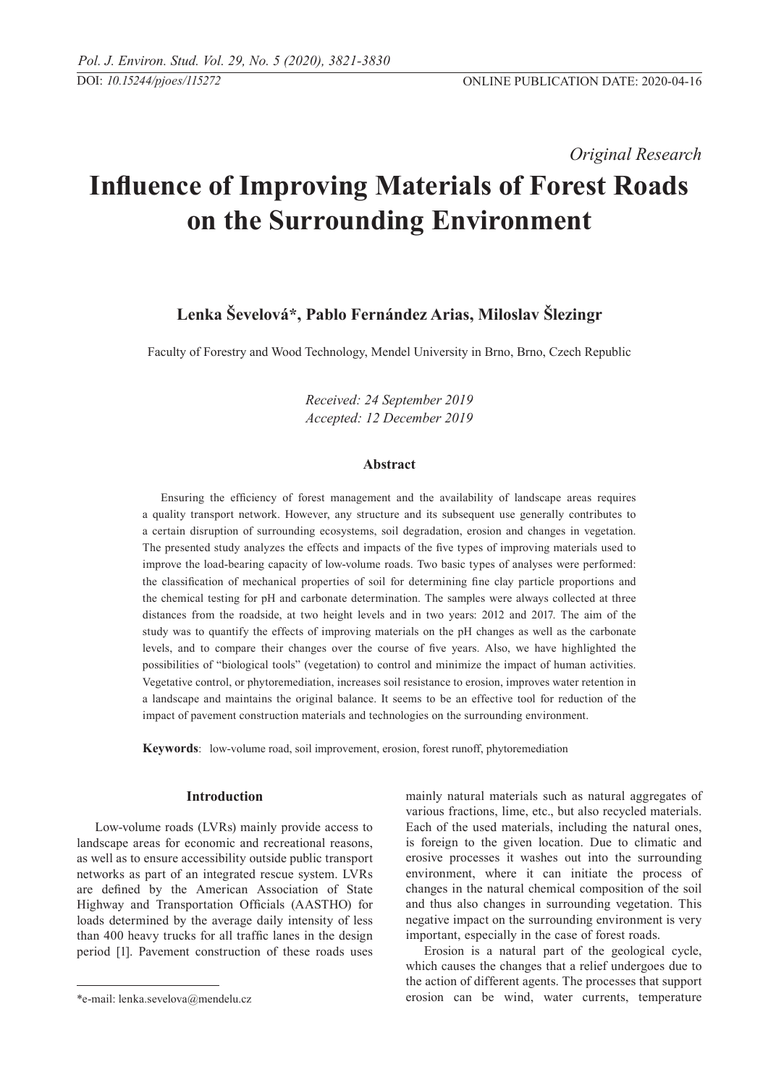*Original Research* 

# **Influence of Improving Materials of Forest Roads on the Surrounding Environment**

# **Lenka Ševelová\*, Pablo Fernández Arias, Miloslav Šlezingr**

Faculty of Forestry and Wood Technology, Mendel University in Brno, Brno, Czech Republic

*Received: 24 September 2019 Accepted: 12 December 2019*

### **Abstract**

Ensuring the efficiency of forest management and the availability of landscape areas requires a quality transport network. However, any structure and its subsequent use generally contributes to a certain disruption of surrounding ecosystems, soil degradation, erosion and changes in vegetation. The presented study analyzes the effects and impacts of the five types of improving materials used to improve the load-bearing capacity of low-volume roads. Two basic types of analyses were performed: the classification of mechanical properties of soil for determining fine clay particle proportions and the chemical testing for pH and carbonate determination. The samples were always collected at three distances from the roadside, at two height levels and in two years: 2012 and 2017. The aim of the study was to quantify the effects of improving materials on the pH changes as well as the carbonate levels, and to compare their changes over the course of five years. Also, we have highlighted the possibilities of "biological tools" (vegetation) to control and minimize the impact of human activities. Vegetative control, or phytoremediation, increases soil resistance to erosion, improves water retention in a landscape and maintains the original balance. It seems to be an effective tool for reduction of the impact of pavement construction materials and technologies on the surrounding environment.

**Keywords**: low-volume road, soil improvement, erosion, forest runoff, phytoremediation

# **Introduction**

Low-volume roads (LVRs) mainly provide access to landscape areas for economic and recreational reasons, as well as to ensure accessibility outside public transport networks as part of an integrated rescue system. LVRs are defined by the American Association of State Highway and Transportation Officials (AASTHO) for loads determined by the average daily intensity of less than 400 heavy trucks for all traffic lanes in the design period [1]. Pavement construction of these roads uses mainly natural materials such as natural aggregates of various fractions, lime, etc., but also recycled materials. Each of the used materials, including the natural ones, is foreign to the given location. Due to climatic and erosive processes it washes out into the surrounding environment, where it can initiate the process of changes in the natural chemical composition of the soil and thus also changes in surrounding vegetation. This negative impact on the surrounding environment is very important, especially in the case of forest roads.

Erosion is a natural part of the geological cycle, which causes the changes that a relief undergoes due to the action of different agents. The processes that support erosion can be wind, water currents, temperature

<sup>\*</sup>e-mail: lenka.sevelova@mendelu.cz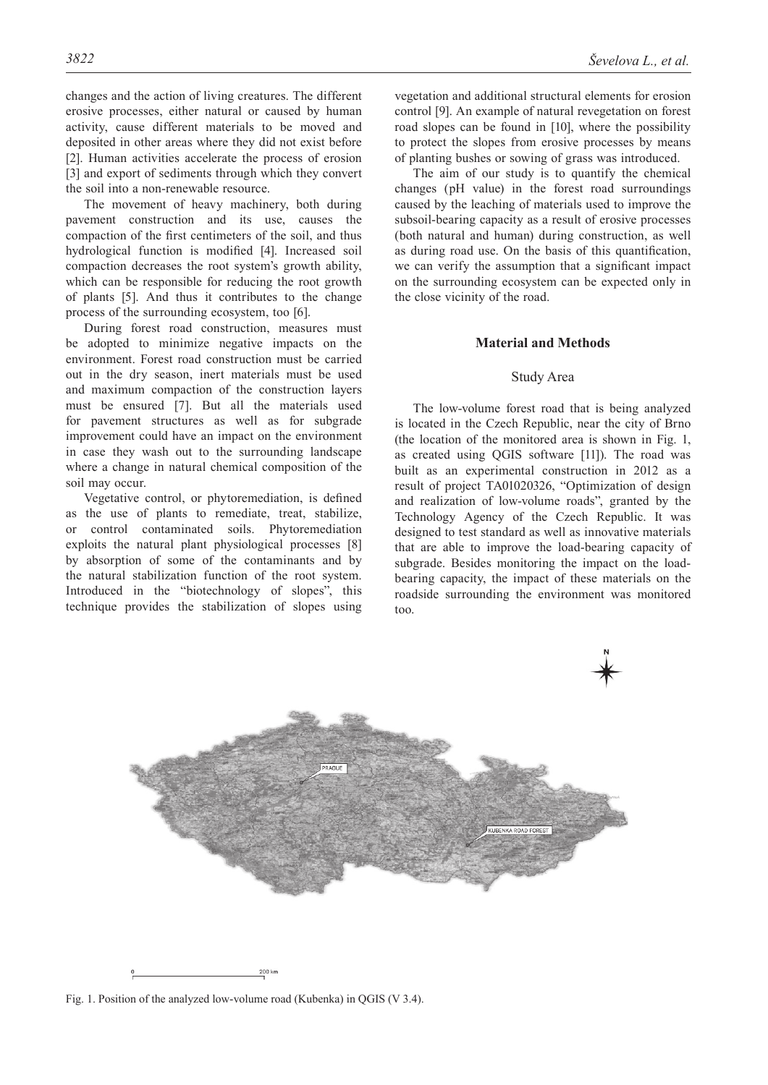changes and the action of living creatures. The different erosive processes, either natural or caused by human activity, cause different materials to be moved and deposited in other areas where they did not exist before [2]. Human activities accelerate the process of erosion [3] and export of sediments through which they convert the soil into a non-renewable resource.

The movement of heavy machinery, both during pavement construction and its use, causes the compaction of the first centimeters of the soil, and thus hydrological function is modified [4]. Increased soil compaction decreases the root system's growth ability, which can be responsible for reducing the root growth of plants [5]. And thus it contributes to the change process of the surrounding ecosystem, too [6].

During forest road construction, measures must be adopted to minimize negative impacts on the environment. Forest road construction must be carried out in the dry season, inert materials must be used and maximum compaction of the construction layers must be ensured [7]. But all the materials used for pavement structures as well as for subgrade improvement could have an impact on the environment in case they wash out to the surrounding landscape where a change in natural chemical composition of the soil may occur.

Vegetative control, or phytoremediation, is defined as the use of plants to remediate, treat, stabilize, or control contaminated soils. Phytoremediation exploits the natural plant physiological processes [8] by absorption of some of the contaminants and by the natural stabilization function of the root system. Introduced in the "biotechnology of slopes", this technique provides the stabilization of slopes using

vegetation and additional structural elements for erosion control [9]. An example of natural revegetation on forest road slopes can be found in [10], where the possibility to protect the slopes from erosive processes by means of planting bushes or sowing of grass was introduced.

The aim of our study is to quantify the chemical changes (pH value) in the forest road surroundings caused by the leaching of materials used to improve the subsoil-bearing capacity as a result of erosive processes (both natural and human) during construction, as well as during road use. On the basis of this quantification, we can verify the assumption that a significant impact on the surrounding ecosystem can be expected only in the close vicinity of the road.

#### **Material and Methods**

# Study Area

The low-volume forest road that is being analyzed is located in the Czech Republic, near the city of Brno (the location of the monitored area is shown in Fig. 1, as created using QGIS software [11]). The road was built as an experimental construction in 2012 as a result of project TA01020326, "Optimization of design and realization of low-volume roads", granted by the Technology Agency of the Czech Republic. It was designed to test standard as well as innovative materials that are able to improve the load-bearing capacity of subgrade. Besides monitoring the impact on the loadbearing capacity, the impact of these materials on the roadside surrounding the environment was monitored too.



Fig. 1. Position of the analyzed low-volume road (Kubenka) in QGIS (V 3.4).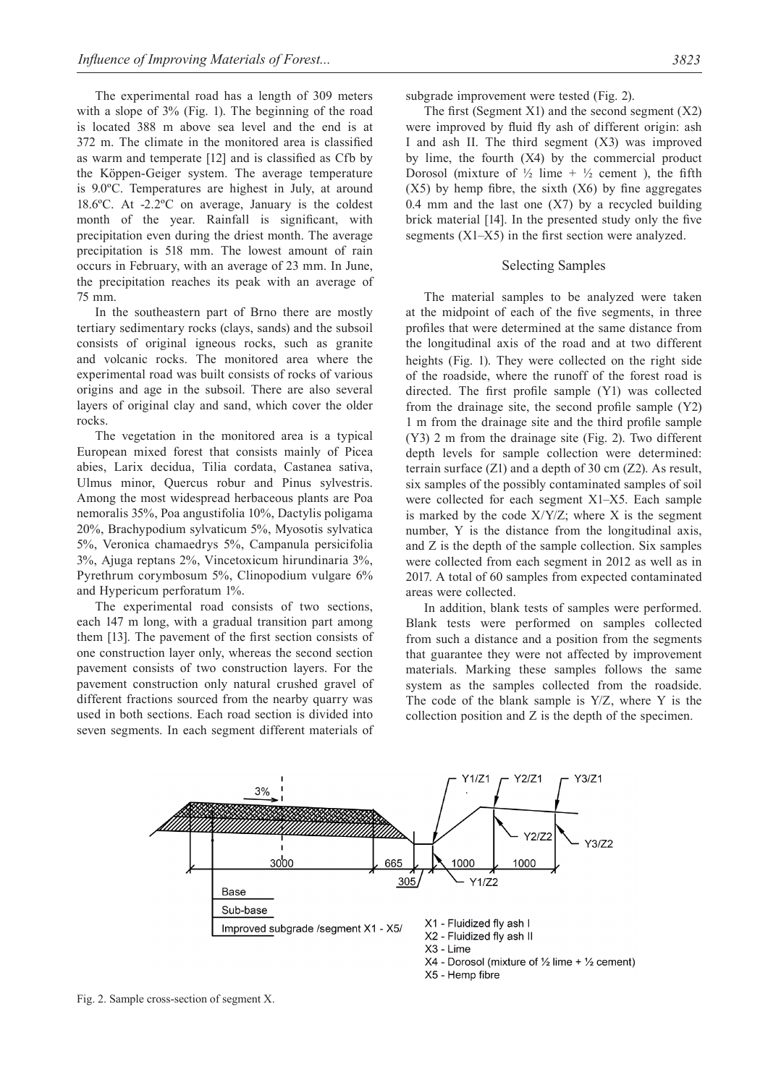The experimental road has a length of 309 meters with a slope of 3% (Fig. 1). The beginning of the road is located 388 m above sea level and the end is at 372 m. The climate in the monitored area is classified as warm and temperate [12] and is classified as Cfb by the Köppen-Geiger system. The average temperature is 9.0ºC. Temperatures are highest in July, at around 18.6ºC. At -2.2ºC on average, January is the coldest month of the year. Rainfall is significant, with precipitation even during the driest month. The average precipitation is 518 mm. The lowest amount of rain occurs in February, with an average of 23 mm. In June, the precipitation reaches its peak with an average of 75 mm.

In the southeastern part of Brno there are mostly tertiary sedimentary rocks (clays, sands) and the subsoil consists of original igneous rocks, such as granite and volcanic rocks. The monitored area where the experimental road was built consists of rocks of various origins and age in the subsoil. There are also several layers of original clay and sand, which cover the older rocks.

The vegetation in the monitored area is a typical European mixed forest that consists mainly of Picea abies, Larix decidua, Tilia cordata, Castanea sativa, Ulmus minor, Quercus robur and Pinus sylvestris. Among the most widespread herbaceous plants are Poa nemoralis 35%, Poa angustifolia 10%, Dactylis poligama 20%, Brachypodium sylvaticum 5%, Myosotis sylvatica 5%, Veronica chamaedrys 5%, Campanula persicifolia 3%, Ajuga reptans 2%, Vincetoxicum hirundinaria 3%, Pyrethrum corymbosum 5%, Clinopodium vulgare 6% and Hypericum perforatum 1%.

The experimental road consists of two sections, each 147 m long, with a gradual transition part among them [13]. The pavement of the first section consists of one construction layer only, whereas the second section pavement consists of two construction layers. For the pavement construction only natural crushed gravel of different fractions sourced from the nearby quarry was used in both sections. Each road section is divided into seven segments. In each segment different materials of subgrade improvement were tested (Fig. 2).

The first (Segment X1) and the second segment  $(X2)$ were improved by fluid fly ash of different origin: ash I and ash II. The third segment (X3) was improved by lime, the fourth (X4) by the commercial product Dorosol (mixture of  $\frac{1}{2}$  lime +  $\frac{1}{2}$  cement), the fifth  $(X5)$  by hemp fibre, the sixth  $(X6)$  by fine aggregates 0.4 mm and the last one  $(X7)$  by a recycled building brick material [14]. In the presented study only the five segments (X1–X5) in the first section were analyzed.

#### Selecting Samples

The material samples to be analyzed were taken at the midpoint of each of the five segments, in three profiles that were determined at the same distance from the longitudinal axis of the road and at two different heights (Fig. 1). They were collected on the right side of the roadside, where the runoff of the forest road is directed. The first profile sample (Y1) was collected from the drainage site, the second profile sample (Y2) 1 m from the drainage site and the third profile sample (Y3) 2 m from the drainage site (Fig. 2). Two different depth levels for sample collection were determined: terrain surface (Z1) and a depth of 30 cm (Z2). As result, six samples of the possibly contaminated samples of soil were collected for each segment X1–X5. Each sample is marked by the code  $X/Y/Z$ ; where X is the segment number, Y is the distance from the longitudinal axis, and Z is the depth of the sample collection. Six samples were collected from each segment in 2012 as well as in 2017. A total of 60 samples from expected contaminated areas were collected.

In addition, blank tests of samples were performed. Blank tests were performed on samples collected from such a distance and a position from the segments that guarantee they were not affected by improvement materials. Marking these samples follows the same system as the samples collected from the roadside. The code of the blank sample is Y/Z, where Y is the collection position and Z is the depth of the specimen.



Fig. 2. Sample cross-section of segment X.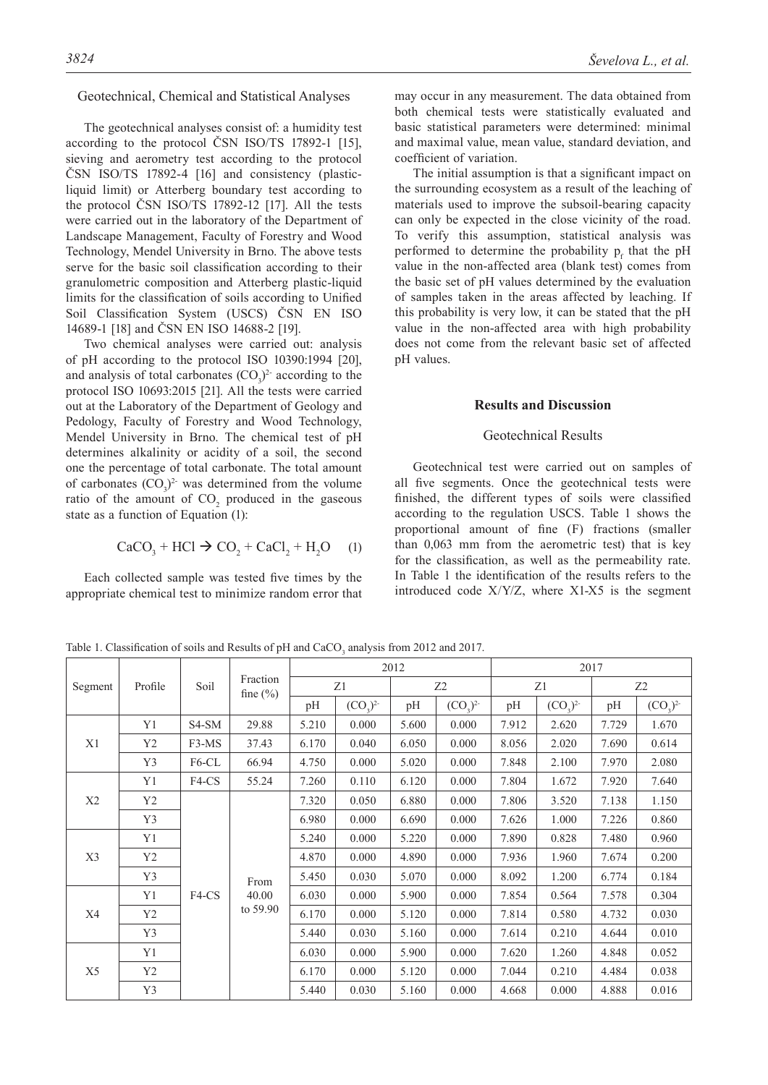#### Geotechnical, Chemical and Statistical Analyses

The geotechnical analyses consist of: a humidity test according to the protocol ČSN ISO/TS 17892-1 [15], sieving and aerometry test according to the protocol ČSN ISO/TS 17892-4 [16] and consistency (plasticliquid limit) or Atterberg boundary test according to the protocol ČSN ISO/TS 17892-12 [17]. All the tests were carried out in the laboratory of the Department of Landscape Management, Faculty of Forestry and Wood Technology, Mendel University in Brno. The above tests serve for the basic soil classification according to their granulometric composition and Atterberg plastic-liquid limits for the classification of soils according to Unified Soil Classification System (USCS) ČSN EN ISO 14689-1 [18] and ČSN EN ISO 14688-2 [19].

Two chemical analyses were carried out: analysis of pH according to the protocol ISO 10390:1994 [20], and analysis of total carbonates  $(CO_3)^2$  according to the protocol ISO 10693:2015 [21]. All the tests were carried out at the Laboratory of the Department of Geology and Pedology, Faculty of Forestry and Wood Technology, Mendel University in Brno. The chemical test of pH determines alkalinity or acidity of a soil, the second one the percentage of total carbonate. The total amount of carbonates  $(CO_3)^2$  was determined from the volume ratio of the amount of  $CO<sub>2</sub>$  produced in the gaseous state as a function of Equation  $(1)$ :

$$
CaCO3 + HCl \rightarrow CO2 + CaCl2 + H2O (1)
$$

Each collected sample was tested five times by the appropriate chemical test to minimize random error that may occur in any measurement. The data obtained from both chemical tests were statistically evaluated and basic statistical parameters were determined: minimal and maximal value, mean value, standard deviation, and coefficient of variation.

The initial assumption is that a significant impact on the surrounding ecosystem as a result of the leaching of materials used to improve the subsoil-bearing capacity can only be expected in the close vicinity of the road. To verify this assumption, statistical analysis was performed to determine the probability  $p_f$  that the pH value in the non-affected area (blank test) comes from the basic set of pH values determined by the evaluation of samples taken in the areas affected by leaching. If this probability is very low, it can be stated that the pH value in the non-affected area with high probability does not come from the relevant basic set of affected pH values.

### **Results and Discussion**

#### Geotechnical Results

Geotechnical test were carried out on samples of all five segments. Once the geotechnical tests were finished, the different types of soils were classified according to the regulation USCS. Table 1 shows the proportional amount of fine (F) fractions (smaller than 0,063 mm from the aerometric test) that is key for the classification, as well as the permeability rate. In Table 1 the identification of the results refers to the introduced code X/Y/Z, where X1-X5 is the segment

Table 1. Classification of soils and Results of pH and  $CaCO<sub>3</sub>$  analysis from 2012 and 2017.

| Segment | Profile  | Soil               | Fraction<br>fine $(\% )$  | 2012  |               |                |               | 2017  |               |                |               |
|---------|----------|--------------------|---------------------------|-------|---------------|----------------|---------------|-------|---------------|----------------|---------------|
|         |          |                    |                           | Z1    |               | Z <sub>2</sub> |               | Z1    |               | Z <sub>2</sub> |               |
|         |          |                    |                           | pH    | $(CO_2)^{2-}$ | pH             | $(CO_3)^{2-}$ | pH    | $(CO_2)^{2-}$ | pH             | $(CO_3)^{2-}$ |
| X1      | Y1       | S <sub>4</sub> -SM | 29.88                     | 5.210 | 0.000         | 5.600          | 0.000         | 7.912 | 2.620         | 7.729          | 1.670         |
|         | Y2       | F3-MS              | 37.43                     | 6.170 | 0.040         | 6.050          | 0.000         | 8.056 | 2.020         | 7.690          | 0.614         |
|         | Y3       | F6-CL              | 66.94                     | 4.750 | 0.000         | 5.020          | 0.000         | 7.848 | 2.100         | 7.970          | 2.080         |
| X2      | Y1       | F4-CS              | 55.24                     | 7.260 | 0.110         | 6.120          | 0.000         | 7.804 | 1.672         | 7.920          | 7.640         |
|         | Y2       | F4-CS              | From<br>40.00<br>to 59.90 | 7.320 | 0.050         | 6.880          | 0.000         | 7.806 | 3.520         | 7.138          | 1.150         |
|         | Y3       |                    |                           | 6.980 | 0.000         | 6.690          | 0.000         | 7.626 | 1.000         | 7.226          | 0.860         |
| X3      | Y1       |                    |                           | 5.240 | 0.000         | 5.220          | 0.000         | 7.890 | 0.828         | 7.480          | 0.960         |
|         | $\rm Y2$ |                    |                           | 4.870 | 0.000         | 4.890          | 0.000         | 7.936 | 1.960         | 7.674          | 0.200         |
|         | Y3       |                    |                           | 5.450 | 0.030         | 5.070          | 0.000         | 8.092 | 1.200         | 6.774          | 0.184         |
| X4      | Y1       |                    |                           | 6.030 | 0.000         | 5.900          | 0.000         | 7.854 | 0.564         | 7.578          | 0.304         |
|         | Y2       |                    |                           | 6.170 | 0.000         | 5.120          | 0.000         | 7.814 | 0.580         | 4.732          | 0.030         |
|         | Y3       |                    |                           | 5.440 | 0.030         | 5.160          | 0.000         | 7.614 | 0.210         | 4.644          | 0.010         |
| X5      | Y1       |                    |                           | 6.030 | 0.000         | 5.900          | 0.000         | 7.620 | 1.260         | 4.848          | 0.052         |
|         | Y2       |                    |                           | 6.170 | 0.000         | 5.120          | 0.000         | 7.044 | 0.210         | 4.484          | 0.038         |
|         | Y3       |                    |                           | 5.440 | 0.030         | 5.160          | 0.000         | 4.668 | 0.000         | 4.888          | 0.016         |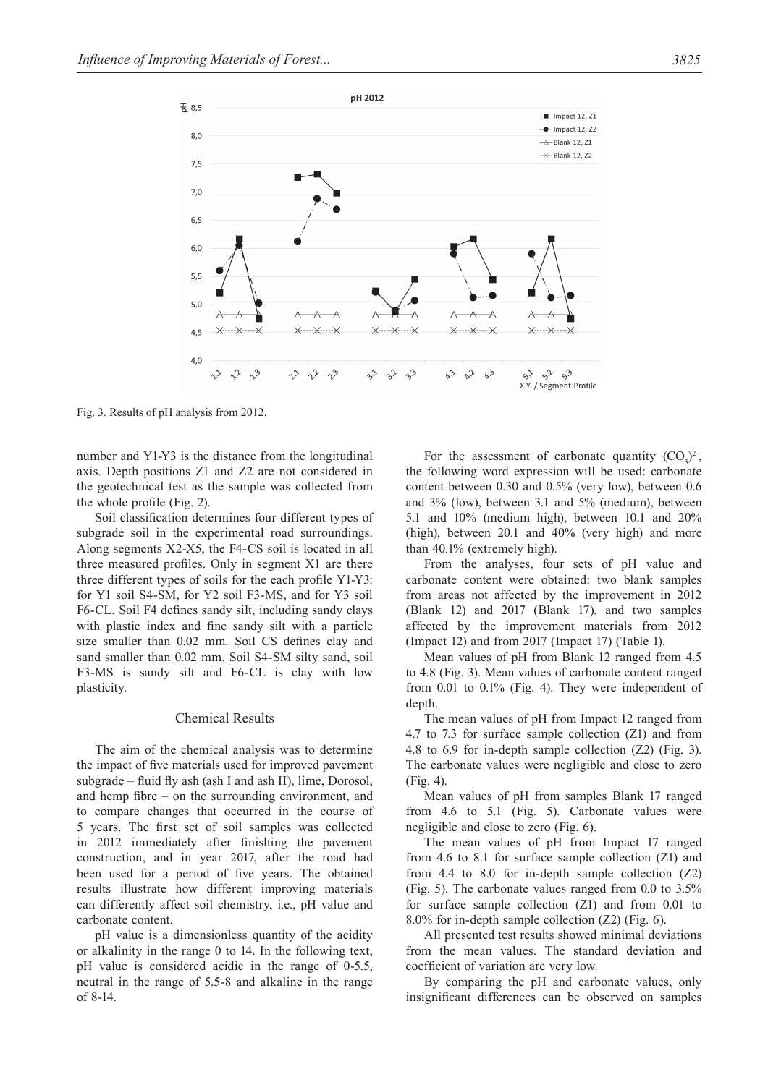

Fig. 3. Results of pH analysis from 2012.

number and Y1-Y3 is the distance from the longitudinal axis. Depth positions Z1 and Z2 are not considered in the geotechnical test as the sample was collected from the whole profile (Fig. 2).

Soil classification determines four different types of subgrade soil in the experimental road surroundings. Along segments X2-X5, the F4-CS soil is located in all three measured profiles. Only in segment X1 are there three different types of soils for the each profile Y1-Y3: for Y1 soil S4-SM, for Y2 soil F3-MS, and for Y3 soil F6-CL. Soil F4 defines sandy silt, including sandy clays with plastic index and fine sandy silt with a particle size smaller than 0.02 mm. Soil CS defines clay and sand smaller than 0.02 mm. Soil S4-SM silty sand, soil F3-MS is sandy silt and F6-CL is clay with low plasticity.

### Chemical Results

The aim of the chemical analysis was to determine the impact of five materials used for improved pavement subgrade – fluid fly ash (ash I and ash II), lime, Dorosol, and hemp fibre – on the surrounding environment, and to compare changes that occurred in the course of 5 years. The first set of soil samples was collected in 2012 immediately after finishing the pavement construction, and in year 2017, after the road had been used for a period of five years. The obtained results illustrate how different improving materials can differently affect soil chemistry, i.e., pH value and carbonate content.

pH value is a dimensionless quantity of the acidity or alkalinity in the range 0 to 14. In the following text, pH value is considered acidic in the range of 0-5.5, neutral in the range of 5.5-8 and alkaline in the range of 8-14.

For the assessment of carbonate quantity  $(CO_3)^2$ . the following word expression will be used: carbonate content between 0.30 and 0.5% (very low), between 0.6 and 3% (low), between 3.1 and 5% (medium), between 5.1 and 10% (medium high), between 10.1 and 20% (high), between 20.1 and 40% (very high) and more than 40.1% (extremely high).

From the analyses, four sets of pH value and carbonate content were obtained: two blank samples from areas not affected by the improvement in 2012 (Blank 12) and 2017 (Blank 17), and two samples affected by the improvement materials from 2012 (Impact 12) and from 2017 (Impact 17) (Table 1).

Mean values of pH from Blank 12 ranged from 4.5 to 4.8 (Fig. 3). Mean values of carbonate content ranged from 0.01 to 0.1% (Fig. 4). They were independent of depth.

The mean values of pH from Impact 12 ranged from 4.7 to 7.3 for surface sample collection (Z1) and from 4.8 to 6.9 for in-depth sample collection (Z2) (Fig. 3). The carbonate values were negligible and close to zero (Fig. 4).

Mean values of pH from samples Blank 17 ranged from 4.6 to 5.1 (Fig. 5). Carbonate values were negligible and close to zero (Fig. 6).

The mean values of pH from Impact 17 ranged from 4.6 to 8.1 for surface sample collection (Z1) and from 4.4 to 8.0 for in-depth sample collection (Z2) (Fig. 5). The carbonate values ranged from 0.0 to 3.5% for surface sample collection (Z1) and from 0.01 to 8.0% for in-depth sample collection (Z2) (Fig. 6).

All presented test results showed minimal deviations from the mean values. The standard deviation and coefficient of variation are very low.

By comparing the pH and carbonate values, only insignificant differences can be observed on samples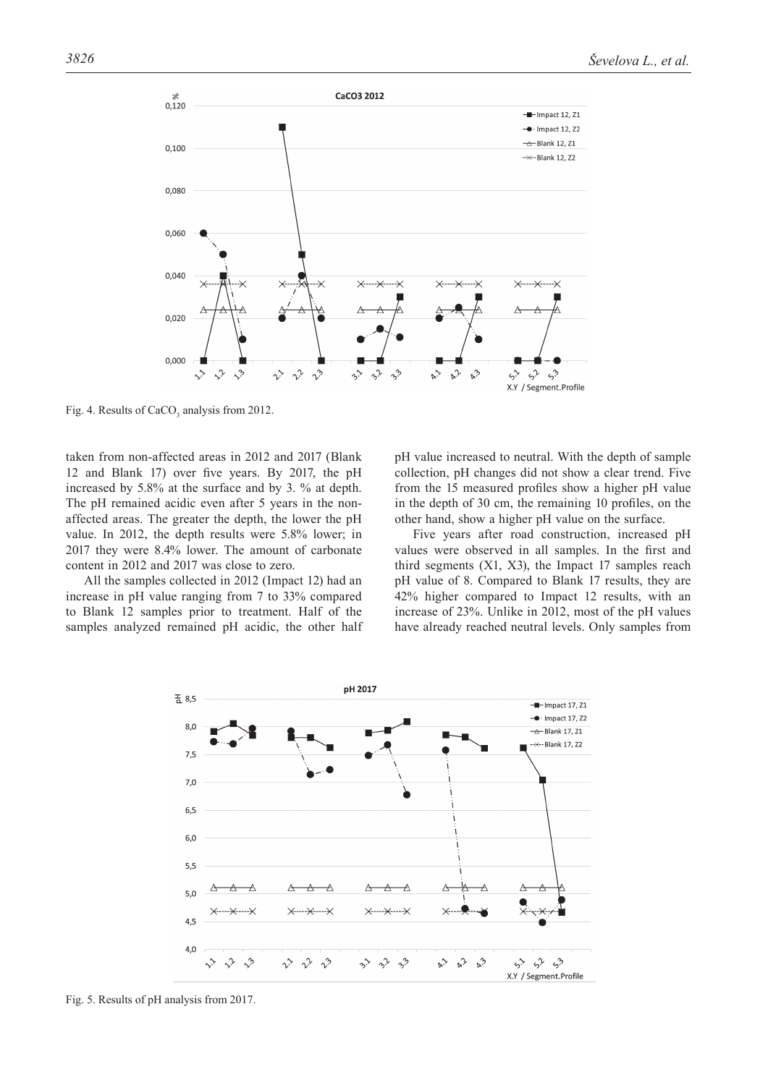

Fig. 4. Results of  $CaCO<sub>3</sub>$  analysis from 2012.

taken from non-affected areas in 2012 and 2017 (Blank 12 and Blank 17) over five years. By 2017, the pH increased by 5.8% at the surface and by 3. % at depth. The pH remained acidic even after 5 years in the nonaffected areas. The greater the depth, the lower the pH value. In 2012, the depth results were 5.8% lower; in 2017 they were 8.4% lower. The amount of carbonate content in 2012 and 2017 was close to zero.

All the samples collected in 2012 (Impact 12) had an increase in pH value ranging from 7 to 33% compared to Blank 12 samples prior to treatment. Half of the samples analyzed remained pH acidic, the other half pH value increased to neutral. With the depth of sample collection, pH changes did not show a clear trend. Five from the 15 measured profiles show a higher pH value in the depth of 30 cm, the remaining 10 profiles, on the other hand, show a higher pH value on the surface.

Five years after road construction, increased pH values were observed in all samples. In the first and third segments (X1, X3), the Impact 17 samples reach pH value of 8. Compared to Blank 17 results, they are 42% higher compared to Impact 12 results, with an increase of 23%. Unlike in 2012, most of the pH values have already reached neutral levels. Only samples from



Fig. 5. Results of pH analysis from 2017.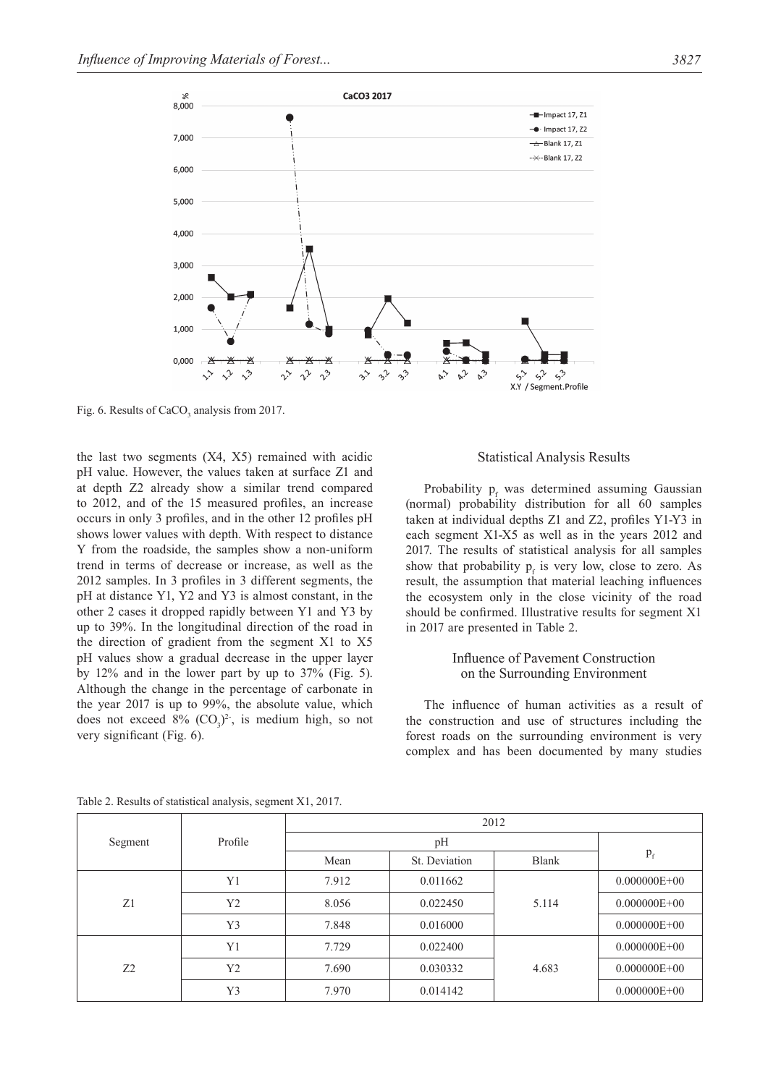

Fig. 6. Results of  $CaCO<sub>3</sub>$  analysis from 2017.

the last two segments (X4, X5) remained with acidic pH value. However, the values taken at surface Z1 and at depth Z2 already show a similar trend compared to 2012, and of the 15 measured profiles, an increase occurs in only 3 profiles, and in the other 12 profiles pH shows lower values with depth. With respect to distance Y from the roadside, the samples show a non-uniform trend in terms of decrease or increase, as well as the 2012 samples. In 3 profiles in 3 different segments, the pH at distance Y1, Y2 and Y3 is almost constant, in the other 2 cases it dropped rapidly between Y1 and Y3 by up to 39%. In the longitudinal direction of the road in the direction of gradient from the segment X1 to X5 pH values show a gradual decrease in the upper layer by 12% and in the lower part by up to 37% (Fig. 5). Although the change in the percentage of carbonate in the year 2017 is up to 99%, the absolute value, which does not exceed  $8\%$  (CO<sub>3</sub>)<sup>2</sup>, is medium high, so not very significant (Fig. 6).

Statistical Analysis Results

Probability  $p_f$  was determined assuming Gaussian (normal) probability distribution for all 60 samples taken at individual depths Z1 and Z2, profiles Y1-Y3 in each segment X1-X5 as well as in the years 2012 and 2017. The results of statistical analysis for all samples show that probability  $p_f$  is very low, close to zero. As result, the assumption that material leaching influences the ecosystem only in the close vicinity of the road should be confirmed. Illustrative results for segment X1 in 2017 are presented in Table 2.

# Influence of Pavement Construction on the Surrounding Environment

The influence of human activities as a result of the construction and use of structures including the forest roads on the surrounding environment is very complex and has been documented by many studies

|         |                | 2012  |               |              |                  |  |  |  |
|---------|----------------|-------|---------------|--------------|------------------|--|--|--|
| Segment | Profile        |       |               |              |                  |  |  |  |
|         |                | Mean  | St. Deviation | <b>Blank</b> | $p_{f}$          |  |  |  |
|         | Y <sub>1</sub> | 7.912 | 0.011662      |              | $0.000000E + 00$ |  |  |  |
| Z1      | Y2             | 8.056 | 0.022450      | 5.114        | $0.000000E + 00$ |  |  |  |
|         | Y3             | 7.848 | 0.016000      |              | $0.000000E + 00$ |  |  |  |
|         | Y1             | 7.729 | 0.022400      |              | $0.000000E + 00$ |  |  |  |
| 7.2     | Y2             | 7.690 | 0.030332      | 4.683        | $0.000000E + 00$ |  |  |  |
|         | Y3             | 7.970 | 0.014142      |              | $0.000000E + 00$ |  |  |  |

Table 2. Results of statistical analysis, segment X1, 2017.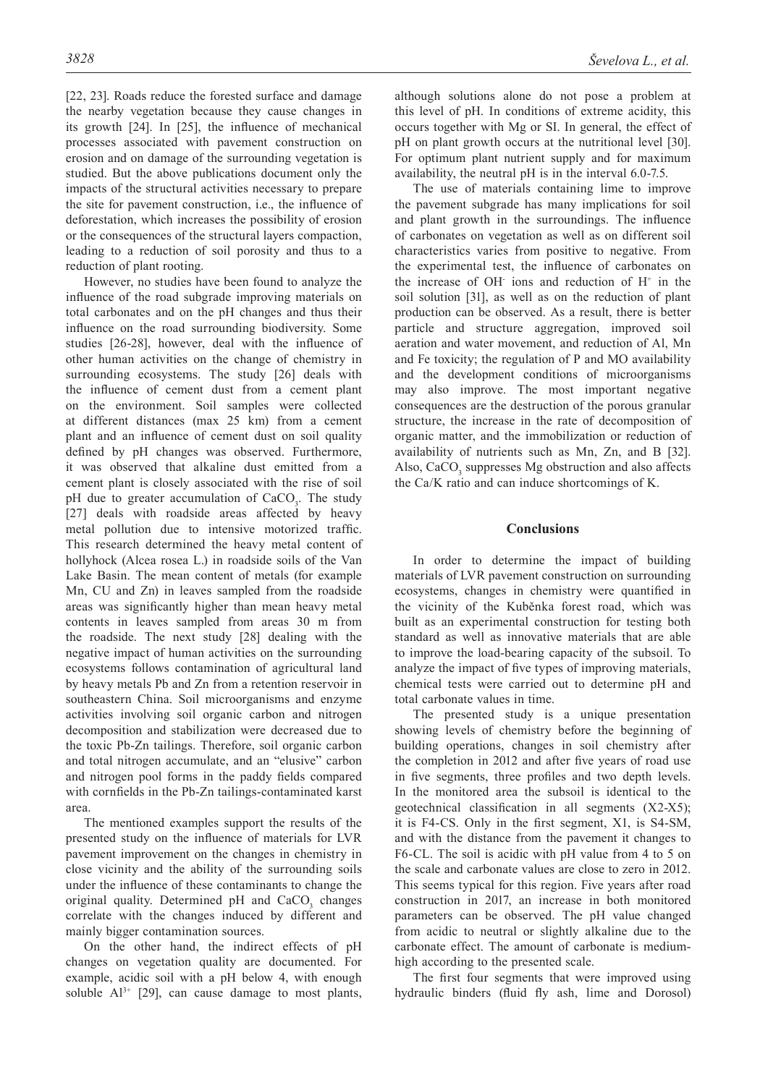[22, 23]. Roads reduce the forested surface and damage the nearby vegetation because they cause changes in its growth [24]. In [25], the influence of mechanical processes associated with pavement construction on erosion and on damage of the surrounding vegetation is studied. But the above publications document only the impacts of the structural activities necessary to prepare the site for pavement construction, i.e., the influence of deforestation, which increases the possibility of erosion or the consequences of the structural layers compaction, leading to a reduction of soil porosity and thus to a reduction of plant rooting.

However, no studies have been found to analyze the influence of the road subgrade improving materials on total carbonates and on the pH changes and thus their influence on the road surrounding biodiversity. Some studies [26-28], however, deal with the influence of other human activities on the change of chemistry in surrounding ecosystems. The study [26] deals with the influence of cement dust from a cement plant on the environment. Soil samples were collected at different distances (max 25 km) from a cement plant and an influence of cement dust on soil quality defined by pH changes was observed. Furthermore, it was observed that alkaline dust emitted from a cement plant is closely associated with the rise of soil pH due to greater accumulation of CaCO<sub>3</sub>. The study [27] deals with roadside areas affected by heavy metal pollution due to intensive motorized traffic. This research determined the heavy metal content of hollyhock (Alcea rosea L.) in roadside soils of the Van Lake Basin. The mean content of metals (for example Mn, CU and Zn) in leaves sampled from the roadside areas was significantly higher than mean heavy metal contents in leaves sampled from areas 30 m from the roadside. The next study [28] dealing with the negative impact of human activities on the surrounding ecosystems follows contamination of agricultural land by heavy metals Pb and Zn from a retention reservoir in southeastern China. Soil microorganisms and enzyme activities involving soil organic carbon and nitrogen decomposition and stabilization were decreased due to the toxic Pb-Zn tailings. Therefore, soil organic carbon and total nitrogen accumulate, and an "elusive" carbon and nitrogen pool forms in the paddy fields compared with cornfields in the Pb-Zn tailings-contaminated karst area.

The mentioned examples support the results of the presented study on the influence of materials for LVR pavement improvement on the changes in chemistry in close vicinity and the ability of the surrounding soils under the influence of these contaminants to change the original quality. Determined pH and  $CaCO<sub>3</sub>$  changes correlate with the changes induced by different and mainly bigger contamination sources.

On the other hand, the indirect effects of pH changes on vegetation quality are documented. For example, acidic soil with a pH below 4, with enough soluble  $Al^{3+}$  [29], can cause damage to most plants, although solutions alone do not pose a problem at this level of pH. In conditions of extreme acidity, this occurs together with Mg or SI. In general, the effect of pH on plant growth occurs at the nutritional level [30]. For optimum plant nutrient supply and for maximum availability, the neutral pH is in the interval 6.0-7.5.

The use of materials containing lime to improve the pavement subgrade has many implications for soil and plant growth in the surroundings. The influence of carbonates on vegetation as well as on different soil characteristics varies from positive to negative. From the experimental test, the influence of carbonates on the increase of OH $\cdot$  ions and reduction of H $\cdot$  in the soil solution [31], as well as on the reduction of plant production can be observed. As a result, there is better particle and structure aggregation, improved soil aeration and water movement, and reduction of Al, Mn and Fe toxicity; the regulation of P and MO availability and the development conditions of microorganisms may also improve. The most important negative consequences are the destruction of the porous granular structure, the increase in the rate of decomposition of organic matter, and the immobilization or reduction of availability of nutrients such as Mn, Zn, and B [32]. Also, CaCO<sub>3</sub> suppresses Mg obstruction and also affects the Ca/K ratio and can induce shortcomings of K.

## **Conclusions**

In order to determine the impact of building materials of LVR pavement construction on surrounding ecosystems, changes in chemistry were quantified in the vicinity of the Kuběnka forest road, which was built as an experimental construction for testing both standard as well as innovative materials that are able to improve the load-bearing capacity of the subsoil. To analyze the impact of five types of improving materials, chemical tests were carried out to determine pH and total carbonate values in time.

The presented study is a unique presentation showing levels of chemistry before the beginning of building operations, changes in soil chemistry after the completion in 2012 and after five years of road use in five segments, three profiles and two depth levels. In the monitored area the subsoil is identical to the geotechnical classification in all segments (X2-X5); it is F4-CS. Only in the first segment, X1, is S4-SM, and with the distance from the pavement it changes to F6-CL. The soil is acidic with pH value from 4 to 5 on the scale and carbonate values are close to zero in 2012. This seems typical for this region. Five years after road construction in 2017, an increase in both monitored parameters can be observed. The pH value changed from acidic to neutral or slightly alkaline due to the carbonate effect. The amount of carbonate is mediumhigh according to the presented scale.

The first four segments that were improved using hydraulic binders (fluid fly ash, lime and Dorosol)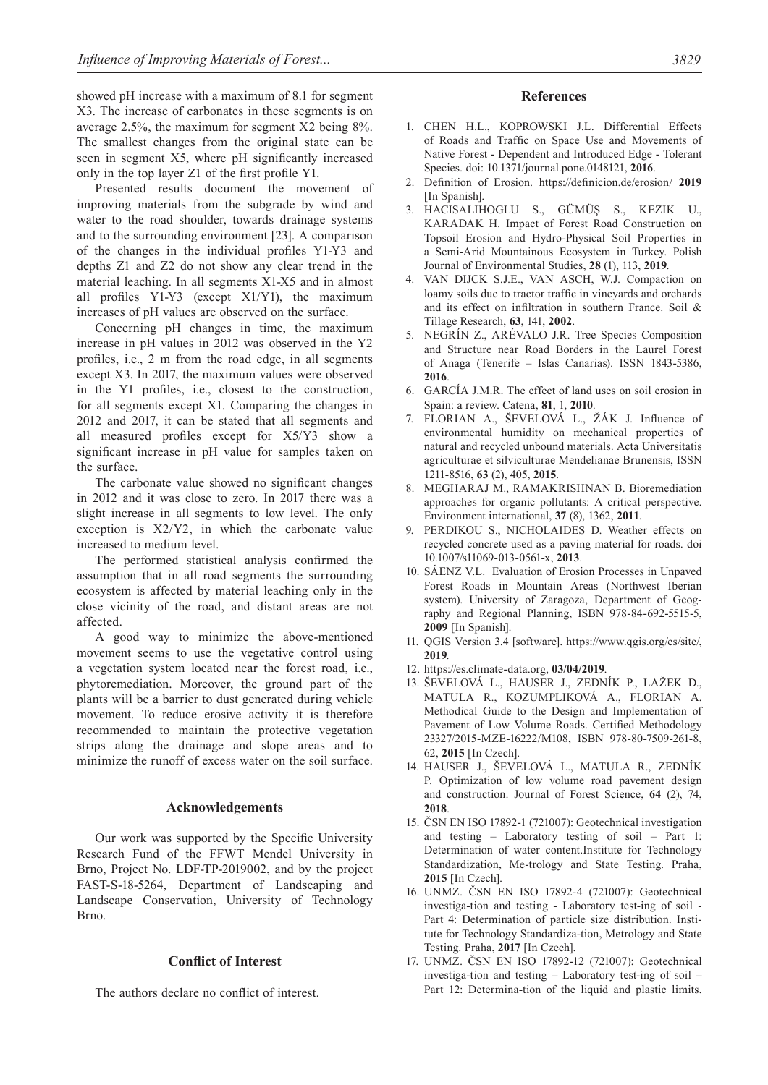showed pH increase with a maximum of 8.1 for segment X3. The increase of carbonates in these segments is on average 2.5%, the maximum for segment X2 being 8%. The smallest changes from the original state can be seen in segment X5, where pH significantly increased only in the top layer Z1 of the first profile Y1.

Presented results document the movement of improving materials from the subgrade by wind and water to the road shoulder, towards drainage systems and to the surrounding environment [23]. A comparison of the changes in the individual profiles Y1-Y3 and depths Z1 and Z2 do not show any clear trend in the material leaching. In all segments X1-X5 and in almost all profiles Y1-Y3 (except X1/Y1), the maximum increases of pH values are observed on the surface.

Concerning pH changes in time, the maximum increase in pH values in 2012 was observed in the Y2 profiles, i.e., 2 m from the road edge, in all segments except X3. In 2017, the maximum values were observed in the Y1 profiles, i.e., closest to the construction, for all segments except X1. Comparing the changes in 2012 and 2017, it can be stated that all segments and all measured profiles except for X5/Y3 show a significant increase in pH value for samples taken on the surface.

The carbonate value showed no significant changes in 2012 and it was close to zero. In 2017 there was a slight increase in all segments to low level. The only exception is X2/Y2, in which the carbonate value increased to medium level.

The performed statistical analysis confirmed the assumption that in all road segments the surrounding ecosystem is affected by material leaching only in the close vicinity of the road, and distant areas are not affected.

A good way to minimize the above-mentioned movement seems to use the vegetative control using a vegetation system located near the forest road, i.e., phytoremediation. Moreover, the ground part of the plants will be a barrier to dust generated during vehicle movement. To reduce erosive activity it is therefore recommended to maintain the protective vegetation strips along the drainage and slope areas and to minimize the runoff of excess water on the soil surface.

### **Acknowledgements**

Our work was supported by the Specific University Research Fund of the FFWT Mendel University in Brno, Project No. LDF-TP-2019002, and by the project FAST-S-18-5264, Department of Landscaping and Landscape Conservation, University of Technology Brno.

### **Conflict of Interest**

The authors declare no conflict of interest.

#### **References**

- 1. CHEN H.L., KOPROWSKI J.L. Differential Effects of Roads and Traffic on Space Use and Movements of Native Forest - Dependent and Introduced Edge - Tolerant Species. doi: 10.1371/journal.pone.0148121, **2016**.
- 2. Definition of Erosion. https://definicion.de/erosion/ **2019** [In Spanish].
- 3. HACISALIHOGLU S., GÜMÜŞ S., KEZIK U., KARADAK H. Impact of Forest Road Construction on Topsoil Erosion and Hydro-Physical Soil Properties in a Semi-Arid Mountainous Ecosystem in Turkey. Polish Journal of Environmental Studies, **28** (1), 113, **2019**.
- 4. VAN DIJCK S.J.E., VAN ASCH, W.J. Compaction on loamy soils due to tractor traffic in vineyards and orchards and its effect on infiltration in southern France. Soil & Tillage Research, **63**, 141, **2002**.
- 5. NEGRÍN Z., ARÉVALO J.R. Tree Species Composition and Structure near Road Borders in the Laurel Forest of Anaga (Tenerife – Islas Canarias). ISSN 1843-5386, **2016**.
- 6. GARCÍA J.M.R. The effect of land uses on soil erosion in Spain: a review. Catena, **81**, 1, **2010**.
- 7. FLORIAN A., ŠEVELOVÁ L., ŽÁK J. Influence of environmental humidity on mechanical properties of natural and recycled unbound materials. Acta Universitatis agriculturae et silviculturae Mendelianae Brunensis, ISSN 1211-8516, **63** (2), 405, **2015**.
- 8. MEGHARAJ M., RAMAKRISHNAN B. Bioremediation approaches for organic pollutants: A critical perspective. Environment international, **37** (8), 1362, **2011**.
- 9. PERDIKOU S., NICHOLAIDES D. Weather effects on recycled concrete used as a paving material for roads. doi 10.1007/s11069-013-0561-x, **2013**.
- 10. SÁENZ V.L. Evaluation of Erosion Processes in Unpaved Forest Roads in Mountain Areas (Northwest Iberian system). University of Zaragoza, Department of Geography and Regional Planning, ISBN 978-84-692-5515-5, **2009** [In Spanish].
- 11. QGIS Version 3.4 [software]. https://www.qgis.org/es/site/, **2019**.
- 12. https://es.climate-data.org, **03/04/2019**.
- 13. ŠEVELOVÁ L., HAUSER J., ZEDNÍK P., LAŽEK D., MATULA R., KOZUMPLIKOVÁ A., FLORIAN A. Methodical Guide to the Design and Implementation of Pavement of Low Volume Roads. Certified Methodology 23327/2015-MZE-16222/M108, ISBN 978-80-7509-261-8, 62, **2015** [In Czech].
- 14. HAUSER J., ŠEVELOVÁ L., MATULA R., ZEDNÍK P. Optimization of low volume road pavement design and construction. Journal of Forest Science, **64** (2), 74, **2018**.
- 15. ČSN EN ISO 17892-1 (721007): Geotechnical investigation and testing – Laboratory testing of soil – Part 1: Determination of water content.Institute for Technology Standardization, Me-trology and State Testing. Praha, **2015** [In Czech].
- 16. UNMZ. ČSN EN ISO 17892-4 (721007): Geotechnical investiga-tion and testing - Laboratory test-ing of soil - Part 4: Determination of particle size distribution. Institute for Technology Standardiza-tion, Metrology and State Testing. Praha, **2017** [In Czech].
- 17. UNMZ. ČSN EN ISO 17892-12 (721007): Geotechnical investiga-tion and testing – Laboratory test-ing of soil – Part 12: Determina-tion of the liquid and plastic limits.